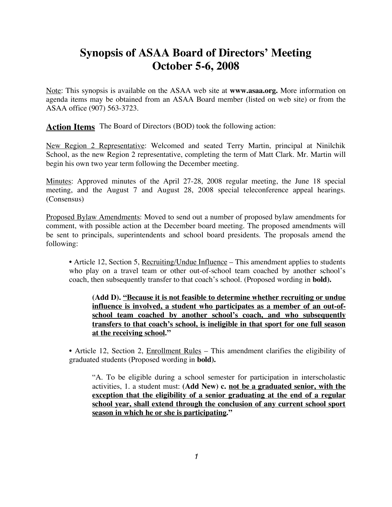# **Synopsis of ASAA Board of Directors' Meeting October 5-6, 2008**

Note: This synopsis is available on the ASAA web site at **www.asaa.org.** More information on agenda items may be obtained from an ASAA Board member (listed on web site) or from the ASAA office (907) 563-3723.

**Action Items** The Board of Directors (BOD) took the following action:

New Region 2 Representative: Welcomed and seated Terry Martin, principal at Ninilchik School, as the new Region 2 representative, completing the term of Matt Clark. Mr. Martin will begin his own two year term following the December meeting.

Minutes: Approved minutes of the April 27-28, 2008 regular meeting, the June 18 special meeting, and the August 7 and August 28, 2008 special teleconference appeal hearings. (Consensus)

Proposed Bylaw Amendments: Moved to send out a number of proposed bylaw amendments for comment, with possible action at the December board meeting. The proposed amendments will be sent to principals, superintendents and school board presidents. The proposals amend the following:

• Article 12, Section 5, Recruiting/Undue Influence – This amendment applies to students who play on a travel team or other out-of-school team coached by another school's coach, then subsequently transfer to that coach's school. (Proposed wording in **bold).**

**(Add D). "Because it is not feasible to determine whether recruiting or undue influence is involved, a student who participates as a member of an out-ofschool team coached by another school's coach, and who subsequently transfers to that coach's school, is ineligible in that sport for one full season at the receiving school."**

• Article 12, Section 2, Enrollment Rules – This amendment clarifies the eligibility of graduated students (Proposed wording in **bold).**

"A. To be eligible during a school semester for participation in interscholastic activities, 1. a student must: **(Add New) c. not be a graduated senior, with the exception that the eligibility of a senior graduating at the end of a regular school year, shall extend through the conclusion of any current school sport season in which he or she is participating."**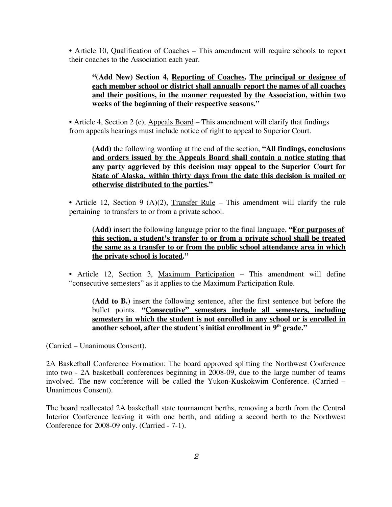• Article 10, Qualification of Coaches – This amendment will require schools to report their coaches to the Association each year.

#### **"(Add New) Section 4, Reporting of Coaches. The principal or designee of each member school or district shall annually report the names of all coaches and their positions, in the manner requested by the Association, within two weeks of the beginning of their respective seasons."**

• Article 4, Section 2 (c), Appeals Board – This amendment will clarify that findings from appeals hearings must include notice of right to appeal to Superior Court.

**(Add)** the following wording at the end of the section, **"All findings, conclusions and orders issued by the Appeals Board shall contain a notice stating that any party aggrieved by this decision may appeal to the Superior Court for State of Alaska, within thirty days from the date this decision is mailed or otherwise distributed to the parties."**

• Article 12, Section 9 (A)(2), Transfer Rule – This amendment will clarify the rule pertaining to transfers to or from a private school.

#### **(Add)** insert the following language prior to the final language, **"For purposes of this section, a student's transfer to or from a private school shall be treated the same as a transfer to or from the public school attendance area in which the private school is located."**

• Article 12, Section 3, Maximum Participation – This amendment will define "consecutive semesters" as it applies to the Maximum Participation Rule.

**(Add to B.)** insert the following sentence, after the first sentence but before the bullet points. **"Consecutive" semesters include all semesters, including semesters in which the student is not enrolled in any school or is enrolled in another school, after the student's initial enrollment in 9th grade."**

(Carried – Unanimous Consent).

2A Basketball Conference Formation: The board approved splitting the Northwest Conference into two - 2A basketball conferences beginning in 2008-09, due to the large number of teams involved. The new conference will be called the Yukon-Kuskokwim Conference. (Carried – Unanimous Consent).

The board reallocated 2A basketball state tournament berths, removing a berth from the Central Interior Conference leaving it with one berth, and adding a second berth to the Northwest Conference for 2008-09 only. (Carried - 7-1).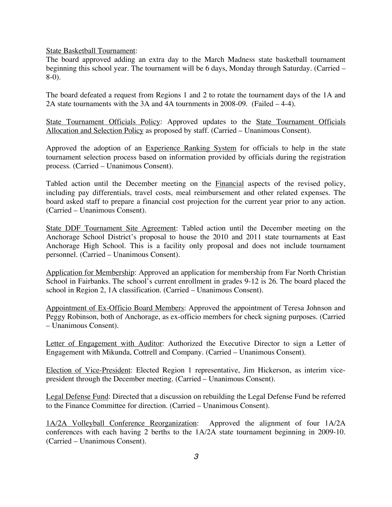State Basketball Tournament:

The board approved adding an extra day to the March Madness state basketball tournament beginning this school year. The tournament will be 6 days, Monday through Saturday. (Carried – 8-0).

The board defeated a request from Regions 1 and 2 to rotate the tournament days of the 1A and 2A state tournaments with the 3A and 4A tournments in 2008-09. (Failed – 4-4).

State Tournament Officials Policy: Approved updates to the State Tournament Officials Allocation and Selection Policy as proposed by staff. (Carried – Unanimous Consent).

Approved the adoption of an Experience Ranking System for officials to help in the state tournament selection process based on information provided by officials during the registration process. (Carried – Unanimous Consent).

Tabled action until the December meeting on the Financial aspects of the revised policy, including pay differentials, travel costs, meal reimbursement and other related expenses. The board asked staff to prepare a financial cost projection for the current year prior to any action. (Carried – Unanimous Consent).

State DDF Tournament Site Agreement: Tabled action until the December meeting on the Anchorage School District's proposal to house the 2010 and 2011 state tournaments at East Anchorage High School. This is a facility only proposal and does not include tournament personnel. (Carried – Unanimous Consent).

Application for Membership: Approved an application for membership from Far North Christian School in Fairbanks. The school's current enrollment in grades 9-12 is 26. The board placed the school in Region 2, 1A classification. (Carried – Unanimous Consent).

Appointment of Ex-Officio Board Members: Approved the appointment of Teresa Johnson and Peggy Robinson, both of Anchorage, as ex-officio members for check signing purposes. (Carried – Unanimous Consent).

Letter of Engagement with Auditor: Authorized the Executive Director to sign a Letter of Engagement with Mikunda, Cottrell and Company. (Carried – Unanimous Consent).

Election of Vice-President: Elected Region 1 representative, Jim Hickerson, as interim vicepresident through the December meeting. (Carried – Unanimous Consent).

Legal Defense Fund: Directed that a discussion on rebuilding the Legal Defense Fund be referred to the Finance Committee for direction. (Carried – Unanimous Consent).

1A/2A Volleyball Conference Reorganization: Approved the alignment of four 1A/2A conferences with each having 2 berths to the 1A/2A state tournament beginning in 2009-10. (Carried – Unanimous Consent).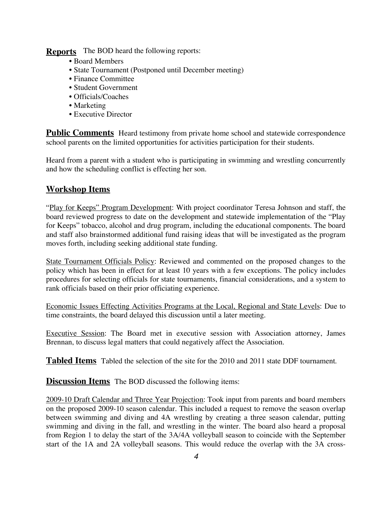**Reports** The BOD heard the following reports:

- Board Members
- State Tournament (Postponed until December meeting)
- Finance Committee
- Student Government
- Officials/Coaches
- Marketing
- Executive Director

**Public Comments** Heard testimony from private home school and statewide correspondence school parents on the limited opportunities for activities participation for their students.

Heard from a parent with a student who is participating in swimming and wrestling concurrently and how the scheduling conflict is effecting her son.

### **Workshop Items**

"Play for Keeps" Program Development: With project coordinator Teresa Johnson and staff, the board reviewed progress to date on the development and statewide implementation of the "Play for Keeps" tobacco, alcohol and drug program, including the educational components. The board and staff also brainstormed additional fund raising ideas that will be investigated as the program moves forth, including seeking additional state funding.

State Tournament Officials Policy: Reviewed and commented on the proposed changes to the policy which has been in effect for at least 10 years with a few exceptions. The policy includes procedures for selecting officials for state tournaments, financial considerations, and a system to rank officials based on their prior officiating experience.

Economic Issues Effecting Activities Programs at the Local, Regional and State Levels: Due to time constraints, the board delayed this discussion until a later meeting.

Executive Session: The Board met in executive session with Association attorney, James Brennan, to discuss legal matters that could negatively affect the Association.

**Tabled Items** Tabled the selection of the site for the 2010 and 2011 state DDF tournament.

**Discussion Items** The BOD discussed the following items:

2009-10 Draft Calendar and Three Year Projection: Took input from parents and board members on the proposed 2009-10 season calendar. This included a request to remove the season overlap between swimming and diving and 4A wrestling by creating a three season calendar, putting swimming and diving in the fall, and wrestling in the winter. The board also heard a proposal from Region 1 to delay the start of the 3A/4A volleyball season to coincide with the September start of the 1A and 2A volleyball seasons. This would reduce the overlap with the 3A cross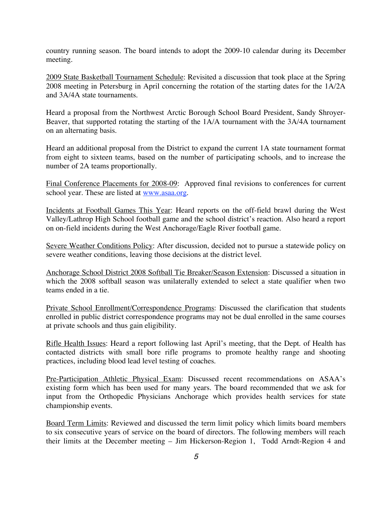country running season. The board intends to adopt the 2009-10 calendar during its December meeting.

2009 State Basketball Tournament Schedule: Revisited a discussion that took place at the Spring 2008 meeting in Petersburg in April concerning the rotation of the starting dates for the 1A/2A and 3A/4A state tournaments.

Heard a proposal from the Northwest Arctic Borough School Board President, Sandy Shroyer-Beaver, that supported rotating the starting of the 1A/A tournament with the 3A/4A tournament on an alternating basis.

Heard an additional proposal from the District to expand the current 1A state tournament format from eight to sixteen teams, based on the number of participating schools, and to increase the number of 2A teams proportionally.

Final Conference Placements for 2008-09: Approved final revisions to conferences for current school year. These are listed at www.asaa.org.

Incidents at Football Games This Year: Heard reports on the off-field brawl during the West Valley/Lathrop High School football game and the school district's reaction. Also heard a report on on-field incidents during the West Anchorage/Eagle River football game.

Severe Weather Conditions Policy: After discussion, decided not to pursue a statewide policy on severe weather conditions, leaving those decisions at the district level.

Anchorage School District 2008 Softball Tie Breaker/Season Extension: Discussed a situation in which the 2008 softball season was unilaterally extended to select a state qualifier when two teams ended in a tie.

Private School Enrollment/Correspondence Programs: Discussed the clarification that students enrolled in public district correspondence programs may not be dual enrolled in the same courses at private schools and thus gain eligibility.

Rifle Health Issues: Heard a report following last April's meeting, that the Dept. of Health has contacted districts with small bore rifle programs to promote healthy range and shooting practices, including blood lead level testing of coaches.

Pre-Participation Athletic Physical Exam: Discussed recent recommendations on ASAA's existing form which has been used for many years. The board recommended that we ask for input from the Orthopedic Physicians Anchorage which provides health services for state championship events.

Board Term Limits: Reviewed and discussed the term limit policy which limits board members to six consecutive years of service on the board of directors. The following members will reach their limits at the December meeting – Jim Hickerson-Region 1, Todd Arndt-Region 4 and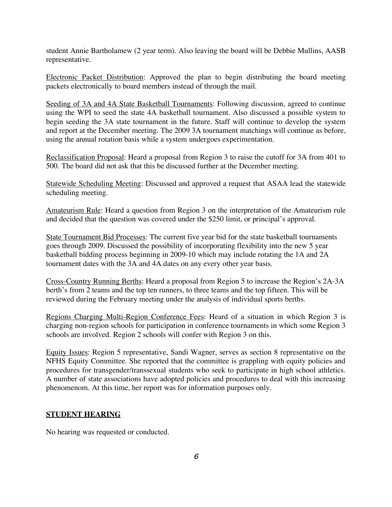student Annie Bartholamew (2 year term). Also leaving the board will be Debbie Mullins, AASB representative.

Electronic Packet Distribution: Approved the plan to begin distributing the board meeting packets electronically to board members instead of through the mail.

Seeding of 3A and 4A State Basketball Tournaments: Following discussion, agreed to continue using the WPI to seed the state 4A basketball tournament. Also discussed a possible system to begin seeding the 3A state tournament in the future. Staff will continue to develop the system and report at the December meeting. The 2009 3A tournament matchings will continue as before, using the annual rotation basis while a system undergoes experimentation.

Reclassification Proposal: Heard a proposal from Region 3 to raise the cutoff for 3A from 401 to 500. The board did not ask that this be discussed further at the December meeting.

Statewide Scheduling Meeting: Discussed and approved a request that ASAA lead the statewide scheduling meeting.

Amateurism Rule: Heard a question from Region 3 on the interpretation of the Amateurism rule and decided that the question was covered under the \$250 limit, or principal's approval.

State Tournament Bid Processes: The current five year bid for the state basketball tournaments goes through 2009. Discussed the possibility of incorporating flexibility into the new 5 year basketball bidding process beginning in 2009-10 which may include rotating the 1A and 2A tournament dates with the 3A and 4A dates on any every other year basis.

Cross-Country Running Berths: Heard a proposal from Region 5 to increase the Region's 2A-3A berth's from 2 teams and the top ten runners, to three teams and the top fifteen. This will be reviewed during the February meeting under the analysis of individual sports berths.

Regions Charging Multi-Region Conference Fees: Heard of a situation in which Region 3 is charging non-region schools for participation in conference tournaments in which some Region 3 schools are involved. Region 2 schools will confer with Region 3 on this.

Equity Issues: Region 5 representative, Sandi Wagner, serves as section 8 representative on the NFHS Equity Committee. She reported that the committee is grappling with equity policies and procedures for transgender/transsexual students who seek to participate in high school athletics. A number of state associations have adopted policies and procedures to deal with this increasing phenomenom. At this time, her report was for information purposes only.

#### **STUDENT HEARING**

No hearing was requested or conducted.